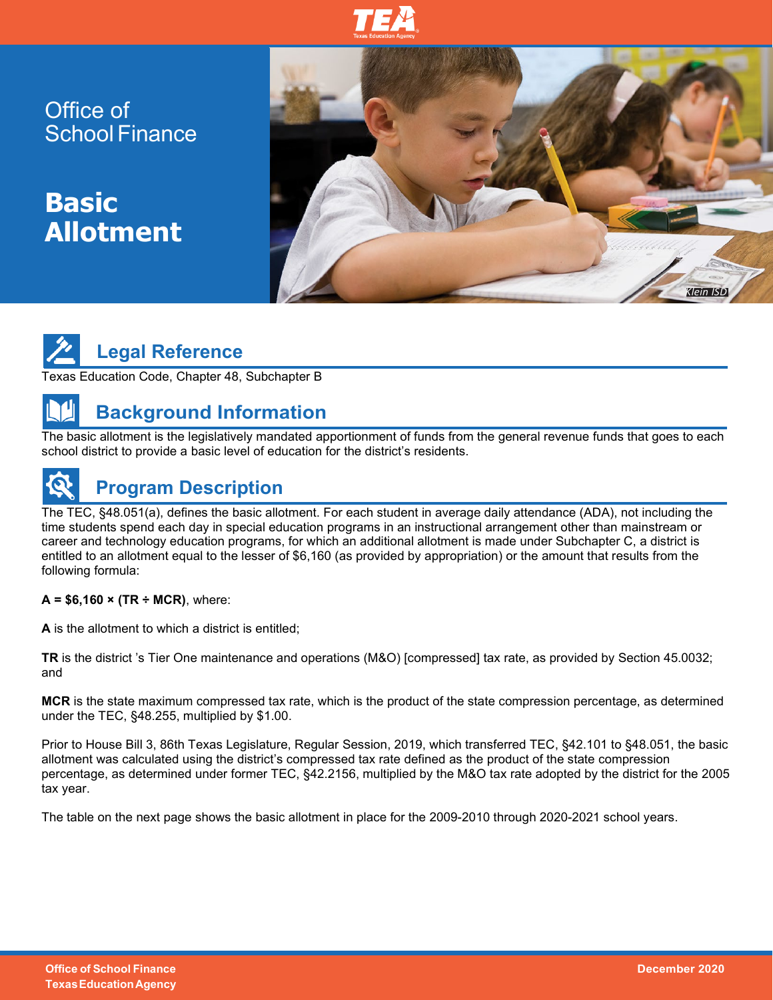

Office of School Finance

**Basic Allotment**



# **Legal Reference**

Texas Education Code, Chapter 48, Subchapter B

## **Background Information**

The basic allotment is the legislatively mandated apportionment of funds from the general revenue funds that goes to each school district to provide a basic level of education for the district's residents.

## **Program Description**

The TEC, §48.051(a), defines the basic allotment. For each student in average daily attendance (ADA), not including the time students spend each day in special education programs in an instructional arrangement other than mainstream or career and technology education programs, for which an additional allotment is made under Subchapter C, a district is entitled to an allotment equal to the lesser of \$6,160 (as provided by appropriation) or the amount that results from the following formula:

#### **A = \$6,160 × (TR ÷ MCR)**, where:

**A** is the allotment to which a district is entitled;

**TR** is the district 's Tier One maintenance and operations (M&O) [compressed] tax rate, as provided by Section 45.0032; and

**MCR** is the state maximum compressed tax rate, which is the product of the state compression percentage, as determined under the TEC, §48.255, multiplied by \$1.00.

Prior to House Bill 3, 86th Texas Legislature, Regular Session, 2019, which transferred TEC, §42.101 to §48.051, the basic allotment was calculated using the district's compressed tax rate defined as the product of the state compression percentage, as determined under former TEC, §42.2156, multiplied by the M&O tax rate adopted by the district for the 2005 tax year.

The table on the next page shows the basic allotment in place for the 2009-2010 through 2020-2021 school years.